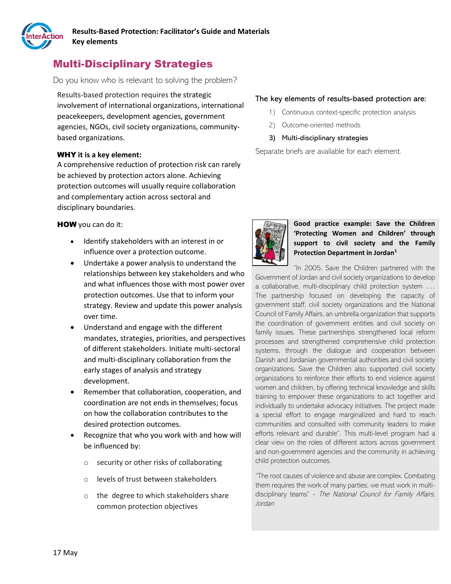

# Multi-Disciplinary Strategies

Do you know who is relevant to solving the problem?

Results-based protection requires the strategic involvement of international organizations, international peacekeepers, development agencies, government agencies, NGOs, civil society organizations, communitybased organizations.

## WHY **it is a key element:**

A comprehensive reduction of protection risk can rarely be achieved by protection actors alone. Achieving protection outcomes will usually require collaboration and complementary action across sectoral and disciplinary boundaries.

HOW you can do it:

- Identify stakeholders with an interest in or influence over a protection outcome.
- Undertake a power analysis to understand the relationships between key stakeholders and who and what influences those with most power over protection outcomes. Use that to inform your strategy. Review and update this power analysis over time.
- Understand and engage with the different mandates, strategies, priorities, and perspectives of different stakeholders. Initiate multi-sectoral and multi-disciplinary collaboration from the early stages of analysis and strategy development.
- Remember that collaboration, cooperation, and coordination are not ends in themselves; focus on how the collaboration contributes to the desired protection outcomes.
- Recognize that who you work with and how will be influenced by:
	- o security or other risks of collaborating
	- o levels of trust between stakeholders
	- o the degree to which stakeholders share common protection objectives

## The key elements of results-based protection are:

- 1) Continuous context-specific protection analysis
- 2) Outcome-oriented methods
- 3) Multi-disciplinary strategies

Separate briefs are available for each element.



# **Good practice example: Save the Children 'Protecting Women and Children' through support to civil society and the Family Protection Department in Jordan<sup>1</sup>**

"In 2005, Save the Children partnered with the Government of Jordan and civil society organizations to develop a collaborative, multi-disciplinary child protection system .… The partnership focused on developing the capacity of government staff, civil society organizations and the National Council of Family Affairs, an umbrella organization that supports the coordination of government entities and civil society on family issues. These partnerships strengthened local reform processes and strengthened comprehensive child protection systems, through the dialogue and cooperation between Danish and Jordanian governmental authorities and civil society organizations. Save the Children also supported civil society organizations to reinforce their efforts to end violence against women and children, by offering technical knowledge and skills training to empower these organizations to act together and individually to undertake advocacy initiatives. The project made a special effort to engage marginalized and hard to reach communities and consulted with community leaders to make efforts relevant and durable". This multi-level program had a clear view on the roles of different actors across government and non-government agencies and the community in achieving child protection outcomes.

"The root causes of violence and abuse are complex. Combating them requires the work of many parties; we must work in multidisciplinary teams" - The National Council for Family Affairs, Jordan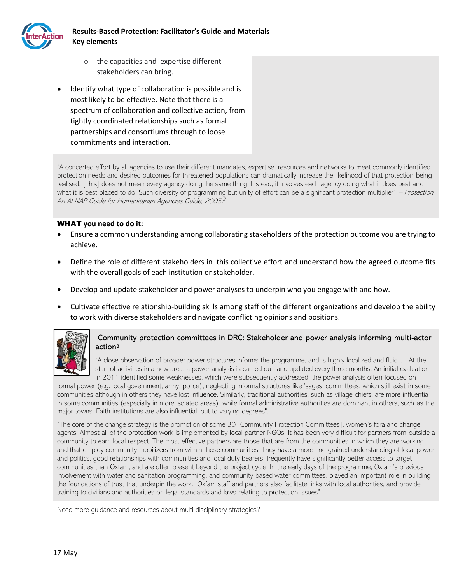

- o the capacities and expertise different stakeholders can bring.
- Identify what type of collaboration is possible and is most likely to be effective. Note that there is a spectrum of collaboration and collective action, from tightly coordinated relationships such as formal partnerships and consortiums through to loose commitments and interaction.

"A concerted effort by all agencies to use their different mandates, expertise, resources and networks to meet commonly identified protection needs and desired outcomes for threatened populations can dramatically increase the likelihood of that protection being realised. [This] does not mean every agency doing the same thing. Instead, it involves each agency doing what it does best and what it is best placed to do. Such diversity of programming but unity of effort can be a significant protection multiplier" – Protection: An ALNAP Guide for Humanitarian Agencies Guide, 2005. 2

## WHAT **you need to do it:**

- Ensure a common understanding among collaborating stakeholders of the protection outcome you are trying to achieve.
- Define the role of different stakeholders in this collective effort and understand how the agreed outcome fits with the overall goals of each institution or stakeholder.
- Develop and update stakeholder and power analyses to underpin who you engage with and how.
- Cultivate effective relationship-building skills among staff of the different organizations and develop the ability to work with diverse stakeholders and navigate conflicting opinions and positions.



# Community protection committees in DRC: Stakeholder and power analysis informing multi-actor action<sup>3</sup>

"A close observation of broader power structures informs the programme, and is highly localized and fluid…. At the start of activities in a new area, a power analysis is carried out, and updated every three months. An initial evaluation in 2011 identified some weaknesses, which were subsequently addressed: the power analysis often focused on

formal power (e.g. local government, army, police), neglecting informal structures like 'sages' committees, which still exist in some communities although in others they have lost influence. Similarly, traditional authorities, such as village chiefs, are more influential in some communities (especially in more isolated areas), while formal administrative authorities are dominant in others, such as the major towns. Faith institutions are also influential, but to varying degrees".

"The core of the change strategy is the promotion of some 30 [Community Protection Committees], women's fora and change agents. Almost all of the protection work is implemented by local partner NGOs. It has been very difficult for partners from outside a community to earn local respect. The most effective partners are those that are from the communities in which they are working and that employ community mobilizers from within those communities. They have a more fine-grained understanding of local power and politics, good relationships with communities and local duty bearers, frequently have significantly better access to target communities than Oxfam, and are often present beyond the project cycle. In the early days of the programme, Oxfam's previous involvement with water and sanitation programming, and community-based water committees, played an important role in building the foundations of trust that underpin the work. Oxfam staff and partners also facilitate links with local authorities, and provide training to civilians and authorities on legal standards and laws relating to protection issues".

Need more guidance and resources about multi-disciplinary strategies?